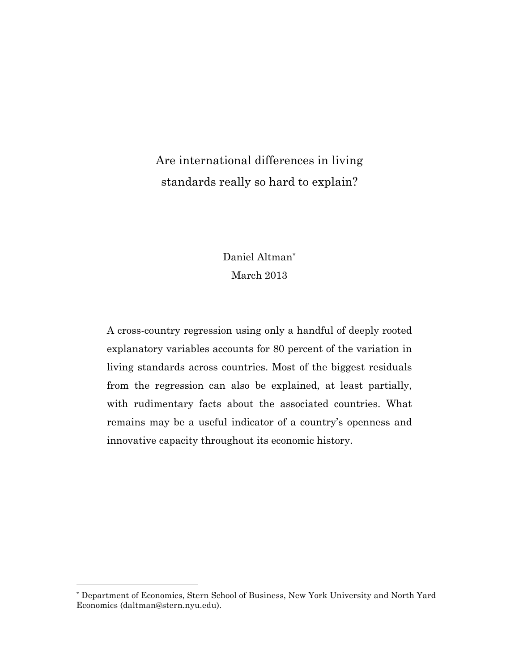# Are international differences in living standards really so hard to explain?

# Daniel Altman\* March 2013

A cross-country regression using only a handful of deeply rooted explanatory variables accounts for 80 percent of the variation in living standards across countries. Most of the biggest residuals from the regression can also be explained, at least partially, with rudimentary facts about the associated countries. What remains may be a useful indicator of a country's openness and innovative capacity throughout its economic history.

<sup>\*</sup> Department of Economics, Stern School of Business, New York University and North Yard Economics (daltman@stern.nyu.edu).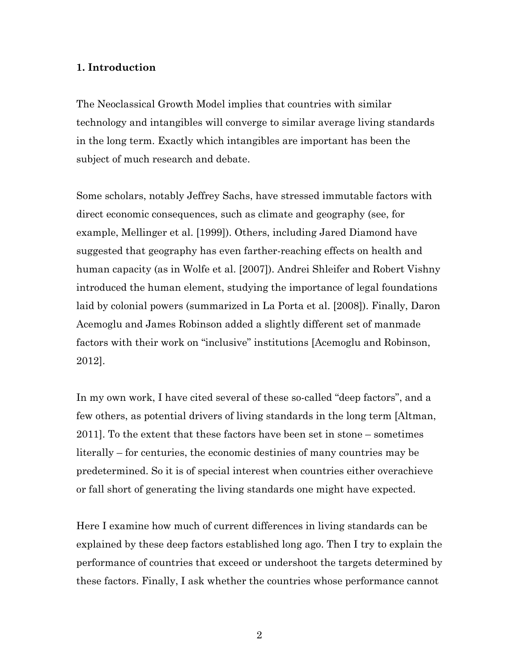### **1. Introduction**

The Neoclassical Growth Model implies that countries with similar technology and intangibles will converge to similar average living standards in the long term. Exactly which intangibles are important has been the subject of much research and debate.

Some scholars, notably Jeffrey Sachs, have stressed immutable factors with direct economic consequences, such as climate and geography (see, for example, Mellinger et al. [1999]). Others, including Jared Diamond have suggested that geography has even farther-reaching effects on health and human capacity (as in Wolfe et al. [2007]). Andrei Shleifer and Robert Vishny introduced the human element, studying the importance of legal foundations laid by colonial powers (summarized in La Porta et al. [2008]). Finally, Daron Acemoglu and James Robinson added a slightly different set of manmade factors with their work on "inclusive" institutions [Acemoglu and Robinson, 2012].

In my own work, I have cited several of these so-called "deep factors", and a few others, as potential drivers of living standards in the long term [Altman, 2011]. To the extent that these factors have been set in stone – sometimes literally – for centuries, the economic destinies of many countries may be predetermined. So it is of special interest when countries either overachieve or fall short of generating the living standards one might have expected.

Here I examine how much of current differences in living standards can be explained by these deep factors established long ago. Then I try to explain the performance of countries that exceed or undershoot the targets determined by these factors. Finally, I ask whether the countries whose performance cannot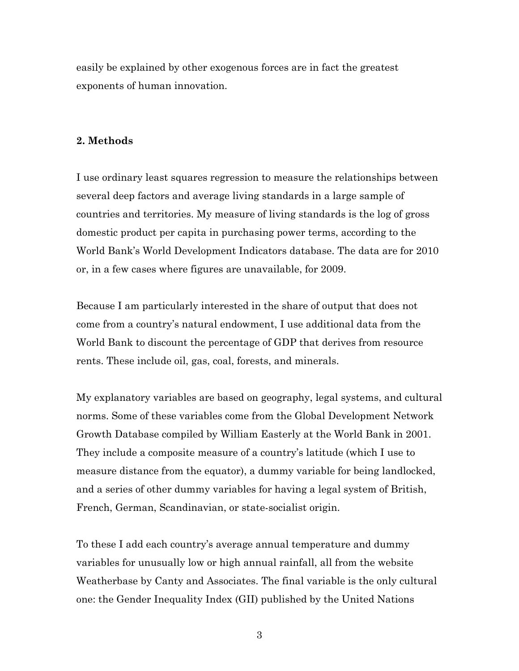easily be explained by other exogenous forces are in fact the greatest exponents of human innovation.

#### **2. Methods**

I use ordinary least squares regression to measure the relationships between several deep factors and average living standards in a large sample of countries and territories. My measure of living standards is the log of gross domestic product per capita in purchasing power terms, according to the World Bank's World Development Indicators database. The data are for 2010 or, in a few cases where figures are unavailable, for 2009.

Because I am particularly interested in the share of output that does not come from a country's natural endowment, I use additional data from the World Bank to discount the percentage of GDP that derives from resource rents. These include oil, gas, coal, forests, and minerals.

My explanatory variables are based on geography, legal systems, and cultural norms. Some of these variables come from the Global Development Network Growth Database compiled by William Easterly at the World Bank in 2001. They include a composite measure of a country's latitude (which I use to measure distance from the equator), a dummy variable for being landlocked, and a series of other dummy variables for having a legal system of British, French, German, Scandinavian, or state-socialist origin.

To these I add each country's average annual temperature and dummy variables for unusually low or high annual rainfall, all from the website Weatherbase by Canty and Associates. The final variable is the only cultural one: the Gender Inequality Index (GII) published by the United Nations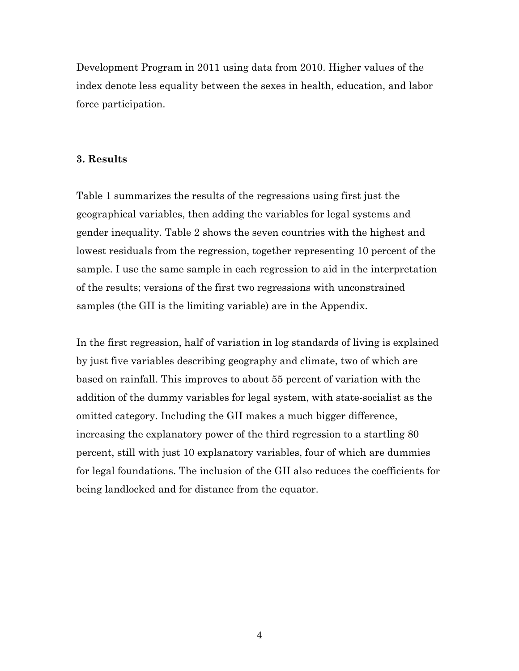Development Program in 2011 using data from 2010. Higher values of the index denote less equality between the sexes in health, education, and labor force participation.

#### **3. Results**

Table 1 summarizes the results of the regressions using first just the geographical variables, then adding the variables for legal systems and gender inequality. Table 2 shows the seven countries with the highest and lowest residuals from the regression, together representing 10 percent of the sample. I use the same sample in each regression to aid in the interpretation of the results; versions of the first two regressions with unconstrained samples (the GII is the limiting variable) are in the Appendix.

In the first regression, half of variation in log standards of living is explained by just five variables describing geography and climate, two of which are based on rainfall. This improves to about 55 percent of variation with the addition of the dummy variables for legal system, with state-socialist as the omitted category. Including the GII makes a much bigger difference, increasing the explanatory power of the third regression to a startling 80 percent, still with just 10 explanatory variables, four of which are dummies for legal foundations. The inclusion of the GII also reduces the coefficients for being landlocked and for distance from the equator.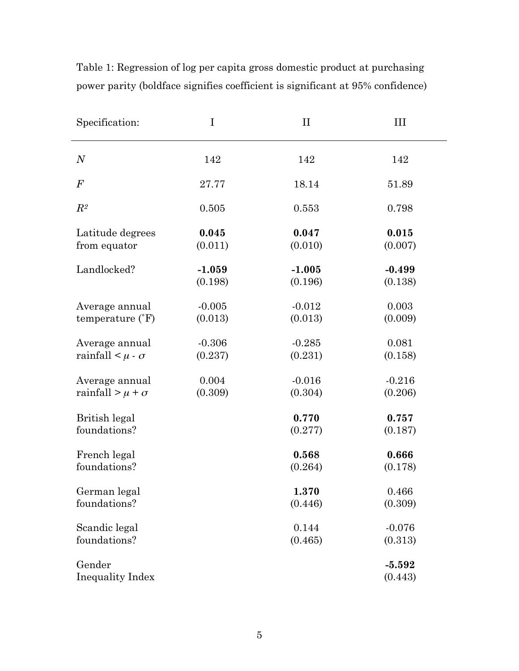| Specification:                    | I        | $\rm II$ | Ш                   |
|-----------------------------------|----------|----------|---------------------|
| $\boldsymbol{N}$                  | 142      | 142      | 142                 |
| $\,F$                             | 27.77    | 18.14    | 51.89               |
| $\mathbb{R}^2$                    | 0.505    | 0.553    | 0.798               |
| Latitude degrees                  | 0.045    | 0.047    | 0.015               |
| from equator                      | (0.011)  | (0.010)  | (0.007)             |
| Landlocked?                       | $-1.059$ | $-1.005$ | $-0.499$            |
|                                   | (0.198)  | (0.196)  | (0.138)             |
| Average annual                    | $-0.005$ | $-0.012$ | 0.003               |
| temperature $({}^{\circ}F)$       | (0.013)  | (0.013)  | (0.009)             |
| Average annual                    | $-0.306$ | $-0.285$ | 0.081               |
| rainfall $\lt \mu \cdot \sigma$   | (0.237)  | (0.231)  | (0.158)             |
| Average annual                    | 0.004    | $-0.016$ | $-0.216$            |
| rainfall > $\mu$ + $\sigma$       | (0.309)  | (0.304)  | (0.206)             |
| British legal                     |          | 0.770    | 0.757               |
| foundations?                      |          | (0.277)  | (0.187)             |
| French legal                      |          | 0.568    | 0.666               |
| foundations?                      |          | (0.264)  | (0.178)             |
| German legal                      |          | 1.370    | 0.466               |
| foundations?                      |          | (0.446)  | (0.309)             |
| Scandic legal                     |          | 0.144    | $-0.076$            |
| foundations?                      |          | (0.465)  | (0.313)             |
| Gender<br><b>Inequality Index</b> |          |          | $-5.592$<br>(0.443) |

Table 1: Regression of log per capita gross domestic product at purchasing power parity (boldface signifies coefficient is significant at 95% confidence)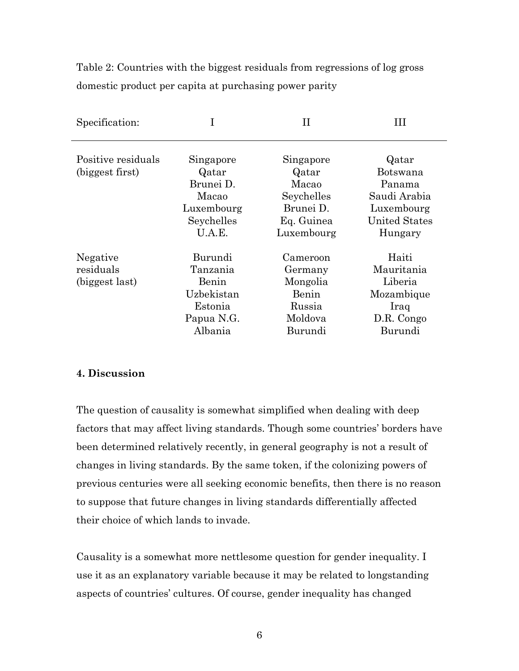Table 2: Countries with the biggest residuals from regressions of log gross domestic product per capita at purchasing power parity

| Specification:                          |                                                                                |                                                                                    | Ш                                                                                            |
|-----------------------------------------|--------------------------------------------------------------------------------|------------------------------------------------------------------------------------|----------------------------------------------------------------------------------------------|
| Positive residuals<br>(biggest first)   | Singapore<br>Qatar<br>Brunei D.<br>Macao<br>Luxembourg<br>Seychelles<br>U.A.E. | Singapore<br>Qatar<br>Macao<br>Seychelles<br>Brunei D.<br>Eq. Guinea<br>Luxembourg | Qatar<br>Botswana<br>Panama<br>Saudi Arabia<br>Luxembourg<br><b>United States</b><br>Hungary |
| Negative<br>residuals<br>(biggest last) | Burundi<br>Tanzania<br>Benin<br>Uzbekistan<br>Estonia<br>Papua N.G.<br>Albania | Cameroon<br>Germany<br>Mongolia<br>Benin<br>Russia<br>Moldova<br>Burundi           | Haiti<br>Mauritania<br>Liberia<br>Mozambique<br>Iraq<br>D.R. Congo<br>Burundi                |

### **4. Discussion**

The question of causality is somewhat simplified when dealing with deep factors that may affect living standards. Though some countries' borders have been determined relatively recently, in general geography is not a result of changes in living standards. By the same token, if the colonizing powers of previous centuries were all seeking economic benefits, then there is no reason to suppose that future changes in living standards differentially affected their choice of which lands to invade.

Causality is a somewhat more nettlesome question for gender inequality. I use it as an explanatory variable because it may be related to longstanding aspects of countries' cultures. Of course, gender inequality has changed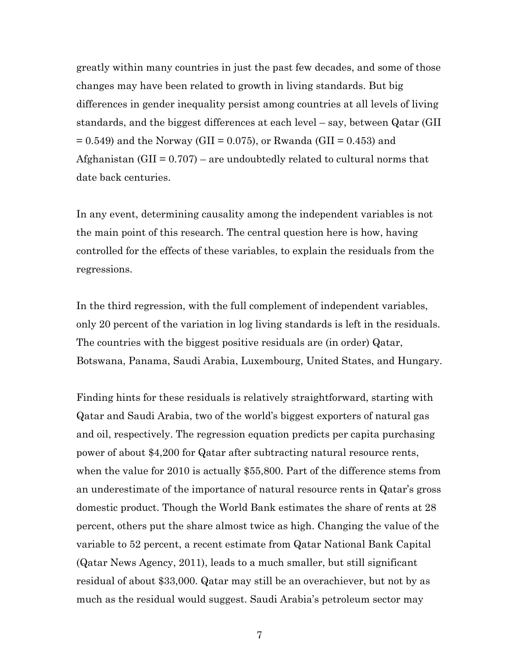greatly within many countries in just the past few decades, and some of those changes may have been related to growth in living standards. But big differences in gender inequality persist among countries at all levels of living standards, and the biggest differences at each level – say, between Qatar (GII  $= 0.549$ ) and the Norway (GII = 0.075), or Rwanda (GII = 0.453) and Afghanistan (GII =  $0.707$ ) – are undoubtedly related to cultural norms that date back centuries.

In any event, determining causality among the independent variables is not the main point of this research. The central question here is how, having controlled for the effects of these variables, to explain the residuals from the regressions.

In the third regression, with the full complement of independent variables, only 20 percent of the variation in log living standards is left in the residuals. The countries with the biggest positive residuals are (in order) Qatar, Botswana, Panama, Saudi Arabia, Luxembourg, United States, and Hungary.

Finding hints for these residuals is relatively straightforward, starting with Qatar and Saudi Arabia, two of the world's biggest exporters of natural gas and oil, respectively. The regression equation predicts per capita purchasing power of about \$4,200 for Qatar after subtracting natural resource rents, when the value for 2010 is actually \$55,800. Part of the difference stems from an underestimate of the importance of natural resource rents in Qatar's gross domestic product. Though the World Bank estimates the share of rents at 28 percent, others put the share almost twice as high. Changing the value of the variable to 52 percent, a recent estimate from Qatar National Bank Capital (Qatar News Agency, 2011), leads to a much smaller, but still significant residual of about \$33,000. Qatar may still be an overachiever, but not by as much as the residual would suggest. Saudi Arabia's petroleum sector may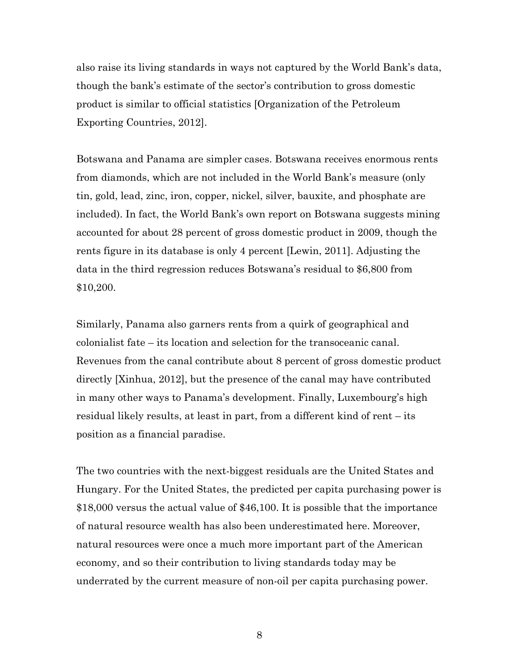also raise its living standards in ways not captured by the World Bank's data, though the bank's estimate of the sector's contribution to gross domestic product is similar to official statistics [Organization of the Petroleum Exporting Countries, 2012].

Botswana and Panama are simpler cases. Botswana receives enormous rents from diamonds, which are not included in the World Bank's measure (only tin, gold, lead, zinc, iron, copper, nickel, silver, bauxite, and phosphate are included). In fact, the World Bank's own report on Botswana suggests mining accounted for about 28 percent of gross domestic product in 2009, though the rents figure in its database is only 4 percent [Lewin, 2011]. Adjusting the data in the third regression reduces Botswana's residual to \$6,800 from \$10,200.

Similarly, Panama also garners rents from a quirk of geographical and colonialist fate – its location and selection for the transoceanic canal. Revenues from the canal contribute about 8 percent of gross domestic product directly [Xinhua, 2012], but the presence of the canal may have contributed in many other ways to Panama's development. Finally, Luxembourg's high residual likely results, at least in part, from a different kind of rent – its position as a financial paradise.

The two countries with the next-biggest residuals are the United States and Hungary. For the United States, the predicted per capita purchasing power is \$18,000 versus the actual value of \$46,100. It is possible that the importance of natural resource wealth has also been underestimated here. Moreover, natural resources were once a much more important part of the American economy, and so their contribution to living standards today may be underrated by the current measure of non-oil per capita purchasing power.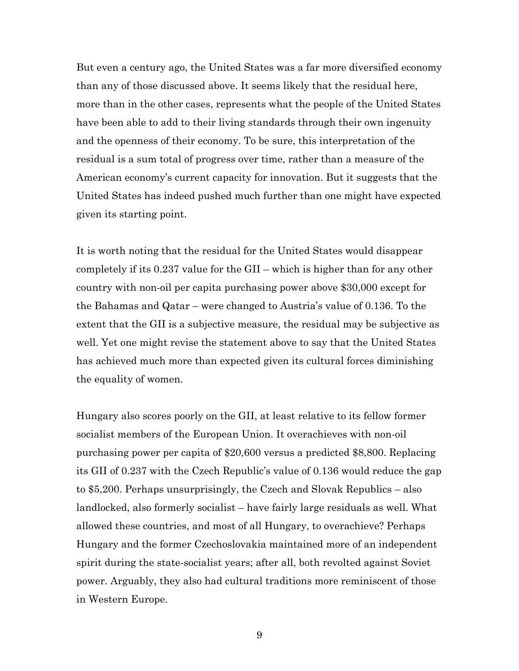But even a century ago, the United States was a far more diversified economy than any of those discussed above. It seems likely that the residual here, more than in the other cases, represents what the people of the United States have been able to add to their living standards through their own ingenuity and the openness of their economy. To be sure, this interpretation of the residual is a sum total of progress over time, rather than a measure of the American economy's current capacity for innovation. But it suggests that the United States has indeed pushed much further than one might have expected given its starting point.

It is worth noting that the residual for the United States would disappear completely if its 0.237 value for the GII – which is higher than for any other country with non-oil per capita purchasing power above \$30,000 except for the Bahamas and Qatar – were changed to Austria's value of 0.136. To the extent that the GII is a subjective measure, the residual may be subjective as well. Yet one might revise the statement above to say that the United States has achieved much more than expected given its cultural forces diminishing the equality of women.

Hungary also scores poorly on the GII, at least relative to its fellow former socialist members of the European Union. It overachieves with non-oil purchasing power per capita of \$20,600 versus a predicted \$8,800. Replacing its GII of 0.237 with the Czech Republic's value of 0.136 would reduce the gap to \$5,200. Perhaps unsurprisingly, the Czech and Slovak Republics – also landlocked, also formerly socialist – have fairly large residuals as well. What allowed these countries, and most of all Hungary, to overachieve? Perhaps Hungary and the former Czechoslovakia maintained more of an independent spirit during the state-socialist years; after all, both revolted against Soviet power. Arguably, they also had cultural traditions more reminiscent of those in Western Europe.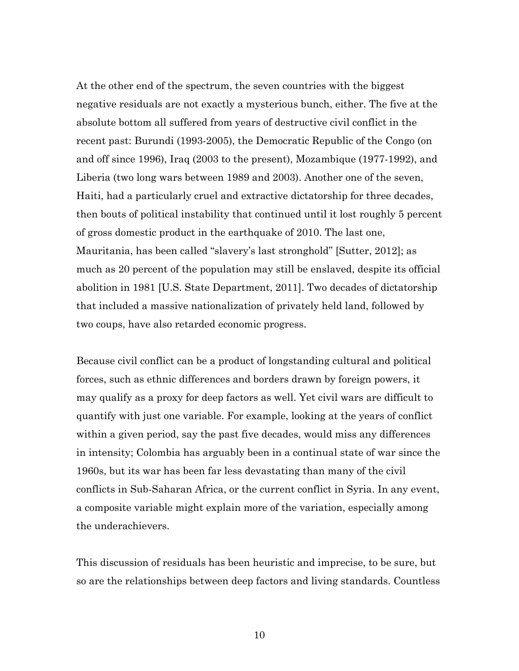At the other end of the spectrum, the seven countries with the biggest negative residuals are not exactly a mysterious bunch, either. The five at the absolute bottom all suffered from years of destructive civil conflict in the recent past: Burundi (1993-2005), the Democratic Republic of the Congo (on and off since 1996), Iraq (2003 to the present), Mozambique (1977-1992), and Liberia (two long wars between 1989 and 2003). Another one of the seven, Haiti, had a particularly cruel and extractive dictatorship for three decades, then bouts of political instability that continued until it lost roughly 5 percent of gross domestic product in the earthquake of 2010. The last one, Mauritania, has been called "slavery's last stronghold" [Sutter, 2012]; as much as 20 percent of the population may still be enslaved, despite its official abolition in 1981 [U.S. State Department, 2011]. Two decades of dictatorship that included a massive nationalization of privately held land, followed by two coups, have also retarded economic progress.

Because civil conflict can be a product of longstanding cultural and political forces, such as ethnic differences and borders drawn by foreign powers, it may qualify as a proxy for deep factors as well. Yet civil wars are difficult to quantify with just one variable. For example, looking at the years of conflict within a given period, say the past five decades, would miss any differences in intensity; Colombia has arguably been in a continual state of war since the 1960s, but its war has been far less devastating than many of the civil conflicts in Sub-Saharan Africa, or the current conflict in Syria. In any event, a composite variable might explain more of the variation, especially among the underachievers.

This discussion of residuals has been heuristic and imprecise, to be sure, but so are the relationships between deep factors and living standards. Countless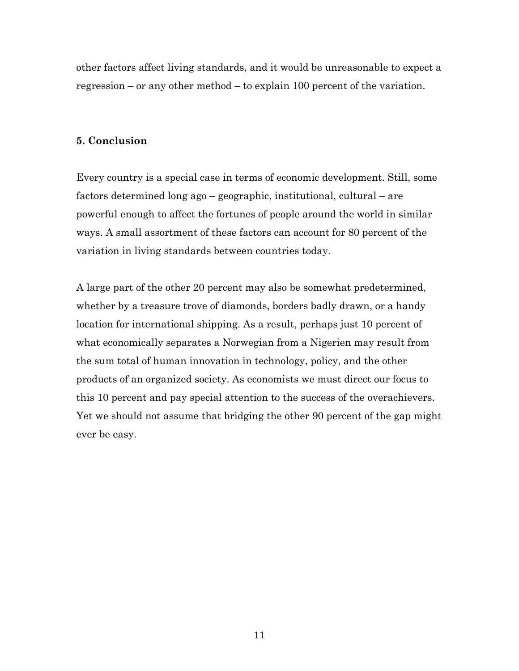other factors affect living standards, and it would be unreasonable to expect a regression – or any other method – to explain 100 percent of the variation.

## **5. Conclusion**

Every country is a special case in terms of economic development. Still, some factors determined long ago – geographic, institutional, cultural – are powerful enough to affect the fortunes of people around the world in similar ways. A small assortment of these factors can account for 80 percent of the variation in living standards between countries today.

A large part of the other 20 percent may also be somewhat predetermined, whether by a treasure trove of diamonds, borders badly drawn, or a handy location for international shipping. As a result, perhaps just 10 percent of what economically separates a Norwegian from a Nigerien may result from the sum total of human innovation in technology, policy, and the other products of an organized society. As economists we must direct our focus to this 10 percent and pay special attention to the success of the overachievers. Yet we should not assume that bridging the other 90 percent of the gap might ever be easy.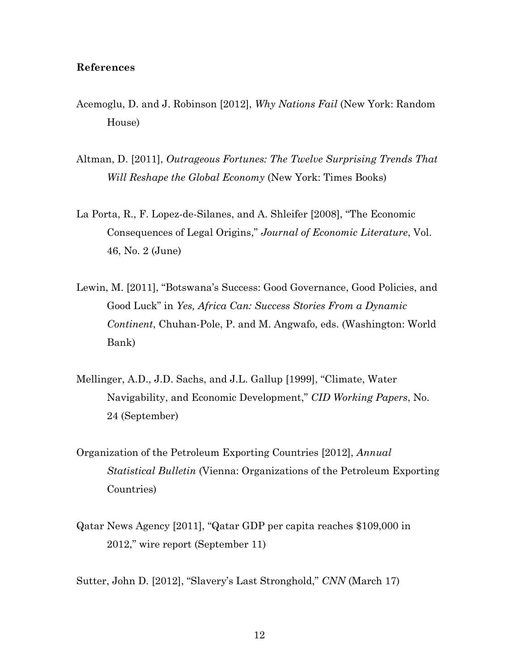#### **References**

- Acemoglu, D. and J. Robinson [2012], *Why Nations Fail* (New York: Random House)
- Altman, D. [2011], *Outrageous Fortunes: The Twelve Surprising Trends That Will Reshape the Global Economy* (New York: Times Books)
- La Porta, R., F. Lopez-de-Silanes, and A. Shleifer [2008], "The Economic Consequences of Legal Origins," *Journal of Economic Literature*, Vol. 46, No. 2 (June)
- Lewin, M. [2011], "Botswana's Success: Good Governance, Good Policies, and Good Luck" in *Yes, Africa Can: Success Stories From a Dynamic Continent*, Chuhan-Pole, P. and M. Angwafo, eds. (Washington: World Bank)
- Mellinger, A.D., J.D. Sachs, and J.L. Gallup [1999], "Climate, Water Navigability, and Economic Development," *CID Working Papers*, No. 24 (September)
- Organization of the Petroleum Exporting Countries [2012], *Annual Statistical Bulletin* (Vienna: Organizations of the Petroleum Exporting Countries)
- Qatar News Agency [2011], "Qatar GDP per capita reaches \$109,000 in 2012," wire report (September 11)

Sutter, John D. [2012], "Slavery's Last Stronghold," *CNN* (March 17)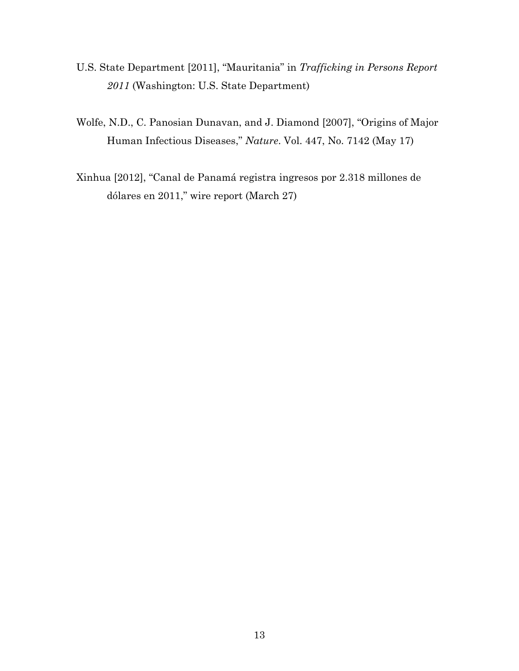- U.S. State Department [2011], "Mauritania" in *Trafficking in Persons Report 2011* (Washington: U.S. State Department)
- Wolfe, N.D., C. Panosian Dunavan, and J. Diamond [2007], "Origins of Major Human Infectious Diseases," *Nature*. Vol. 447, No. 7142 (May 17)
- Xinhua [2012], "Canal de Panamá registra ingresos por 2.318 millones de dólares en 2011," wire report (March 27)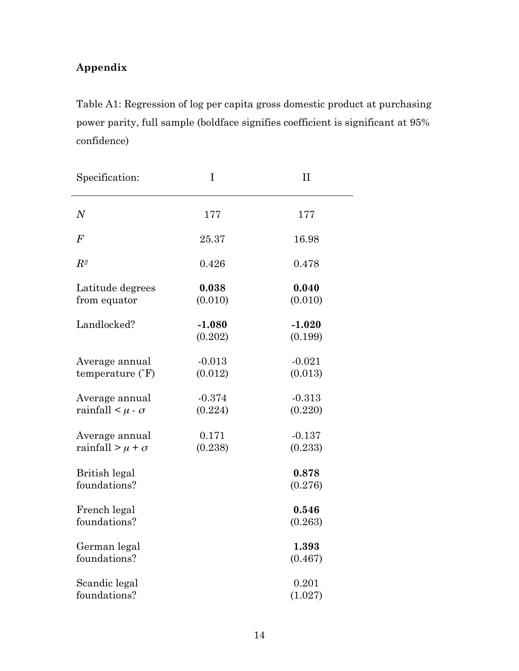# **Appendix**

Table A1: Regression of log per capita gross domestic product at purchasing power parity, full sample (boldface signifies coefficient is significant at 95% confidence)

| Specification:                                    | I                   | $\prod$             |
|---------------------------------------------------|---------------------|---------------------|
| $\boldsymbol{N}$                                  | 177                 | 177                 |
| F                                                 | 25.37               | 16.98               |
| $\mathbb{R}^2$                                    | 0.426               | 0.478               |
| Latitude degrees<br>from equator                  | 0.038<br>(0.010)    | 0.040<br>(0.010)    |
| Landlocked?                                       | $-1.080$<br>(0.202) | $-1.020$<br>(0.199) |
| Average annual<br>temperature $({}^{\circ}F)$     | $-0.013$<br>(0.012) | $-0.021$<br>(0.013) |
| Average annual<br>rainfall $\lt \mu \cdot \sigma$ | $-0.374$<br>(0.224) | $-0.313$<br>(0.220) |
| Average annual<br>rainfall > $\mu$ + $\sigma$     | 0.171<br>(0.238)    | $-0.137$<br>(0.233) |
| <b>British legal</b><br>foundations?              |                     | 0.878<br>(0.276)    |
| French legal<br>foundations?                      |                     | 0.546<br>(0.263)    |
| German legal<br>foundations?                      |                     | 1.393<br>(0.467)    |
| Scandic legal<br>foundations?                     |                     | 0.201<br>(1.027)    |